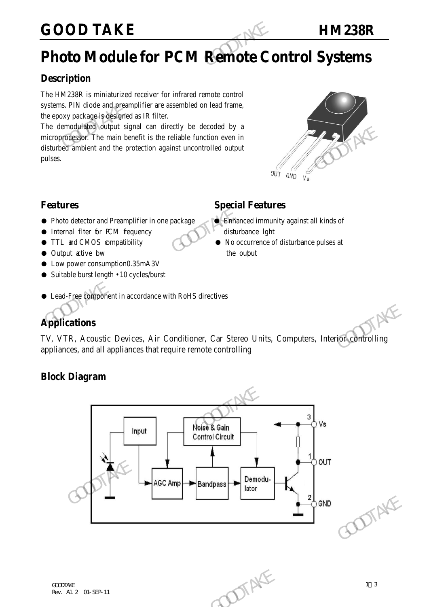# **GOOD TAKE HM238R**

# **Photo Module for PCM Remote Control Systems**

## **Description**

The HM238R is miniaturized receiver for infrared remote control systems. PIN diode and preamplifier are assembled on lead frame, the epoxy package is designed as IR filter.

The demodulated output signal can directly be decoded by a microprocessor. The main benefit is the reliable function even in disturbed ambient and the protection against uncontrolled output pulses. GOOD TAKE<br>
Photo Module for PCM Remote Control<br>
Description<br>
The HM238R is miniaturized receiver for infrared remote control<br>
systems. PIN diode and preamplifier are assembled on lead frame,<br>
the epoxy package is designed The memorial of output signal can directly be occooled by a<br>microprocessor. The main benefit is the reliable function even in<br>disturbed ambient and the protection against uncontrolled output<br>pulses.<br> **Special Features**<br>
•



## **Features** Special Features

- Photo detector and Preamplifier in one package Britannied immunity against all kinds of
- Internal filter for PCM frequency disturbance light
- TTL and CMOS compatibility No occurrence of disturbance pulses at
- Output active bw the output
- Low power consumption0.35mA3V
- Suitable burst length 10 cycles/burst

# ● Lead-Free component in accordance with RoHS directives

# **Applications**

TV, VTR, Acoustic Devices, Air Conditioner, Car Stereo Units, Computers, Interior controlling appliances, and all appliances that require remote controlling

### **Block Diagram**

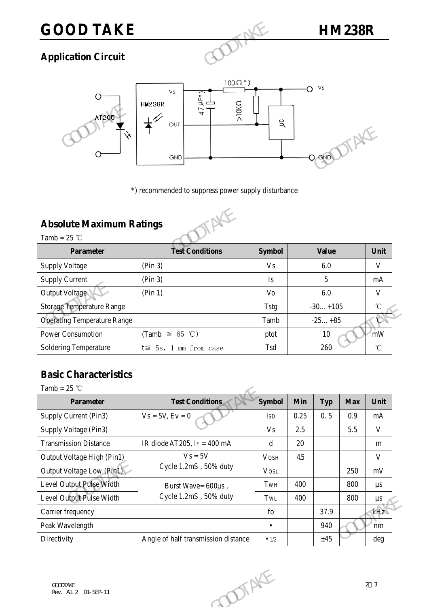# **GOOD TAKE HM238R**

# **Application Circuit**



# **Absolute Maximum Ratings**



|                                    | <b>GND</b>                                          |                      | $O$ GND      |      |
|------------------------------------|-----------------------------------------------------|----------------------|--------------|------|
|                                    | *) recommended to suppress power supply disturbance |                      |              |      |
| <b>Absolute Maximum Ratings</b>    |                                                     |                      |              |      |
| Tamb = $25$ °C                     |                                                     |                      |              |      |
|                                    | <b>Test Conditions</b>                              | <b>Symbol</b>        | <b>Value</b> | Unit |
| <b>Parameter</b>                   |                                                     |                      |              |      |
| <b>Supply Voltage</b>              | (Pin 3)                                             | <b>V<sub>S</sub></b> | 6.0          |      |
| <b>Supply Current</b>              | (Pin 3)                                             | Is                   | 5            |      |
| Output Voltage                     | (Pin 1)                                             | Vo                   | 6.0          |      |
| <b>Storage Temperature Range</b>   |                                                     | <b>Tstg</b>          | $-30+105$    |      |
| <b>Operating Temperature Range</b> |                                                     | Tamb                 | $-25+85$     |      |
| Power Consumption                  | (Tamb $\leq$ 85 °C)                                 | ptot                 | 10           |      |

# **Basic Characteristics**

| <b>Storage Temperature Range</b>   |                                     | <b>Tstg</b>   |                       | $-30+105$  |                     | C            |
|------------------------------------|-------------------------------------|---------------|-----------------------|------------|---------------------|--------------|
| <b>Operating Temperature Range</b> |                                     | Tamb          | $-25+85$<br>10<br>260 |            |                     |              |
| Power Consumption                  | (Tamb $\leq$ 85 °C)                 | ptot          |                       |            | mW                  |              |
| <b>Soldering Temperature</b>       | $t \leq 5s$ , 1 mm from case        | Tsd           |                       |            | $^{\circ}\!{\rm C}$ |              |
| <b>Basic Characteristics</b>       |                                     |               |                       |            |                     |              |
| Tamb = $25$ °C                     |                                     |               |                       |            |                     |              |
| <b>Parameter</b>                   | <b>Test Conditions</b>              | <b>Symbol</b> | <b>Min</b>            | <b>Typ</b> | <b>Max</b>          | Unit         |
| Supply Current (Pin3)              | $Vs = 5V, Ev = 0$                   | <b>ISD</b>    | 0.25                  | 0.5        | 0.9                 | mA           |
| Supply Voltage (Pin3)              |                                     | <b>Vs</b>     | 2.5                   |            | 5.5                 | $\mathbf{V}$ |
| <b>Transmission Distance</b>       | IR diode AT205, IF = $400$ mA       | $\mathbf d$   | 20                    |            |                     | m            |
| Output Voltage High (Pin1)         | $V_s = 5V$                          | <b>VOSH</b>   | 45                    |            |                     | $\mathbf{V}$ |
| Output Voltage Low (Pin1)          | Cycle 1.2mS, 50% duty               | <b>VOSL</b>   |                       |            | 250                 | mV           |
| Level Output Pulse Width           | Burst Wave= 600µs,                  | TWH           | 400                   |            | 800                 | $\mu s$      |
| Level Output Pulse Width           | Cycle 1.2mS, 50% duty               | TwL           | 400                   |            | 800                 | $\mu s$      |
| Carrier frequency                  |                                     | fo            |                       | 37.9       |                     | kHz          |
| Peak Wavelength                    |                                     | $\bullet$     |                       | 940        |                     | nm           |
| Directivity                        | Angle of half transmission distance | $\bullet$ 1/2 |                       | ±45        |                     | deg          |